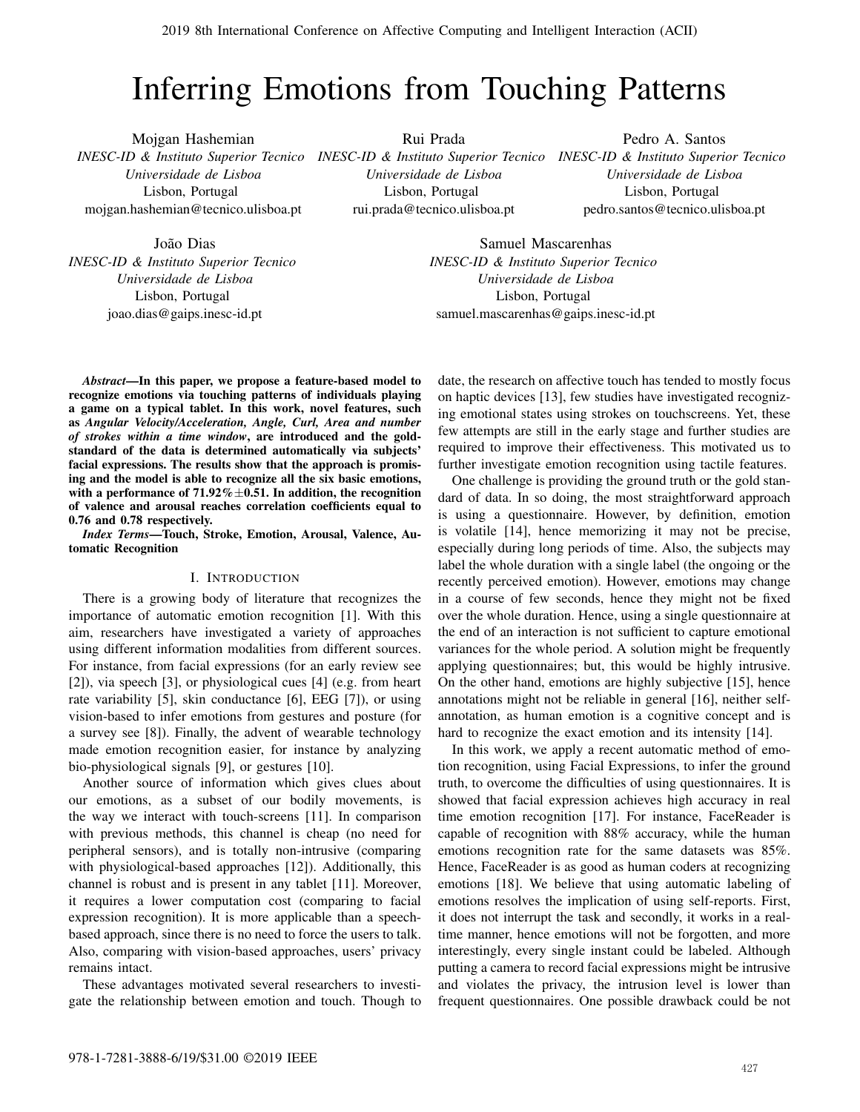# Inferring Emotions from Touching Patterns

Mojgan Hashemian *INESC-ID & Instituto Superior Tecnico INESC-ID & Instituto Superior Tecnico INESC-ID & Instituto Superior Tecnico Universidade de Lisboa* Lisbon, Portugal mojgan.hashemian@tecnico.ulisboa.pt

Rui Prada *Universidade de Lisboa* Lisbon, Portugal rui.prada@tecnico.ulisboa.pt

Pedro A. Santos *Universidade de Lisboa* Lisbon, Portugal pedro.santos@tecnico.ulisboa.pt

João Dias *INESC-ID & Instituto Superior Tecnico Universidade de Lisboa* Lisbon, Portugal joao.dias@gaips.inesc-id.pt

Samuel Mascarenhas *INESC-ID & Instituto Superior Tecnico Universidade de Lisboa* Lisbon, Portugal samuel.mascarenhas@gaips.inesc-id.pt

*Abstract*—In this paper, we propose a feature-based model to recognize emotions via touching patterns of individuals playing a game on a typical tablet. In this work, novel features, such as *Angular Velocity/Acceleration, Angle, Curl, Area and number of strokes within a time window*, are introduced and the goldstandard of the data is determined automatically via subjects' facial expressions. The results show that the approach is promising and the model is able to recognize all the six basic emotions, with a performance of  $71.92\% \pm 0.51$ . In addition, the recognition of valence and arousal reaches correlation coefficients equal to 0.76 and 0.78 respectively.

*Index Terms*—Touch, Stroke, Emotion, Arousal, Valence, Automatic Recognition

# I. INTRODUCTION

There is a growing body of literature that recognizes the importance of automatic emotion recognition [1]. With this aim, researchers have investigated a variety of approaches using different information modalities from different sources. For instance, from facial expressions (for an early review see [2]), via speech [3], or physiological cues [4] (e.g. from heart rate variability [5], skin conductance [6], EEG [7]), or using vision-based to infer emotions from gestures and posture (for a survey see [8]). Finally, the advent of wearable technology made emotion recognition easier, for instance by analyzing bio-physiological signals [9], or gestures [10].

Another source of information which gives clues about our emotions, as a subset of our bodily movements, is the way we interact with touch-screens [11]. In comparison with previous methods, this channel is cheap (no need for peripheral sensors), and is totally non-intrusive (comparing with physiological-based approaches [12]). Additionally, this channel is robust and is present in any tablet [11]. Moreover, it requires a lower computation cost (comparing to facial expression recognition). It is more applicable than a speechbased approach, since there is no need to force the users to talk. Also, comparing with vision-based approaches, users' privacy remains intact.

These advantages motivated several researchers to investigate the relationship between emotion and touch. Though to date, the research on affective touch has tended to mostly focus on haptic devices [13], few studies have investigated recognizing emotional states using strokes on touchscreens. Yet, these few attempts are still in the early stage and further studies are required to improve their effectiveness. This motivated us to further investigate emotion recognition using tactile features.

One challenge is providing the ground truth or the gold standard of data. In so doing, the most straightforward approach is using a questionnaire. However, by definition, emotion is volatile [14], hence memorizing it may not be precise, especially during long periods of time. Also, the subjects may label the whole duration with a single label (the ongoing or the recently perceived emotion). However, emotions may change in a course of few seconds, hence they might not be fixed over the whole duration. Hence, using a single questionnaire at the end of an interaction is not sufficient to capture emotional variances for the whole period. A solution might be frequently applying questionnaires; but, this would be highly intrusive. On the other hand, emotions are highly subjective [15], hence annotations might not be reliable in general [16], neither selfannotation, as human emotion is a cognitive concept and is hard to recognize the exact emotion and its intensity [14].

In this work, we apply a recent automatic method of emotion recognition, using Facial Expressions, to infer the ground truth, to overcome the difficulties of using questionnaires. It is showed that facial expression achieves high accuracy in real time emotion recognition [17]. For instance, FaceReader is capable of recognition with 88% accuracy, while the human emotions recognition rate for the same datasets was 85%. Hence, FaceReader is as good as human coders at recognizing emotions [18]. We believe that using automatic labeling of emotions resolves the implication of using self-reports. First, it does not interrupt the task and secondly, it works in a realtime manner, hence emotions will not be forgotten, and more interestingly, every single instant could be labeled. Although putting a camera to record facial expressions might be intrusive and violates the privacy, the intrusion level is lower than frequent questionnaires. One possible drawback could be not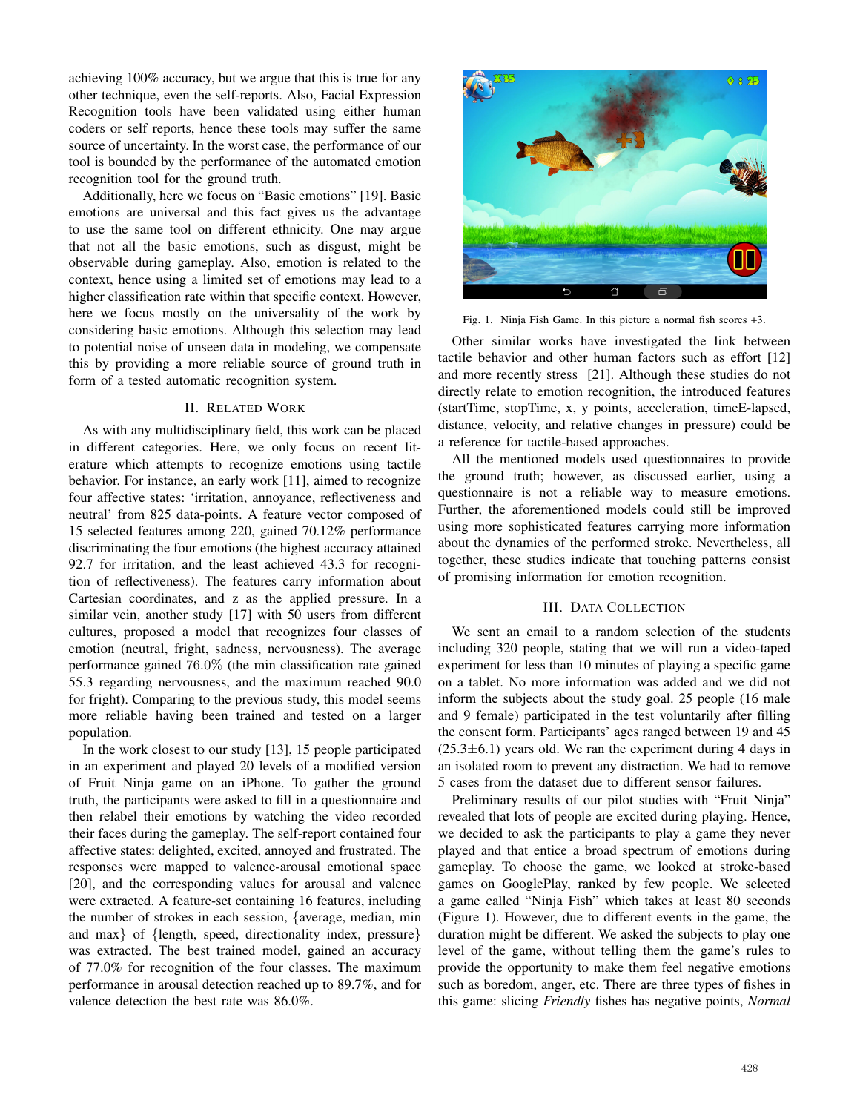achieving 100% accuracy, but we argue that this is true for any other technique, even the self-reports. Also, Facial Expression Recognition tools have been validated using either human coders or self reports, hence these tools may suffer the same source of uncertainty. In the worst case, the performance of our tool is bounded by the performance of the automated emotion recognition tool for the ground truth.

Additionally, here we focus on "Basic emotions" [19]. Basic emotions are universal and this fact gives us the advantage to use the same tool on different ethnicity. One may argue that not all the basic emotions, such as disgust, might be observable during gameplay. Also, emotion is related to the context, hence using a limited set of emotions may lead to a higher classification rate within that specific context. However, here we focus mostly on the universality of the work by considering basic emotions. Although this selection may lead to potential noise of unseen data in modeling, we compensate this by providing a more reliable source of ground truth in form of a tested automatic recognition system.

## II. RELATED WORK

As with any multidisciplinary field, this work can be placed in different categories. Here, we only focus on recent literature which attempts to recognize emotions using tactile behavior. For instance, an early work [11], aimed to recognize four affective states: 'irritation, annoyance, reflectiveness and neutral' from 825 data-points. A feature vector composed of 15 selected features among 220, gained 70.12% performance discriminating the four emotions (the highest accuracy attained 92.7 for irritation, and the least achieved 43.3 for recognition of reflectiveness). The features carry information about Cartesian coordinates, and z as the applied pressure. In a similar vein, another study [17] with 50 users from different cultures, proposed a model that recognizes four classes of emotion (neutral, fright, sadness, nervousness). The average performance gained 76.0% (the min classification rate gained 55.3 regarding nervousness, and the maximum reached 90.0 for fright). Comparing to the previous study, this model seems more reliable having been trained and tested on a larger population.

In the work closest to our study [13], 15 people participated in an experiment and played 20 levels of a modified version of Fruit Ninja game on an iPhone. To gather the ground truth, the participants were asked to fill in a questionnaire and then relabel their emotions by watching the video recorded their faces during the gameplay. The self-report contained four affective states: delighted, excited, annoyed and frustrated. The responses were mapped to valence-arousal emotional space [20], and the corresponding values for arousal and valence were extracted. A feature-set containing 16 features, including the number of strokes in each session, {average, median, min and max} of {length, speed, directionality index, pressure} was extracted. The best trained model, gained an accuracy of 77.0% for recognition of the four classes. The maximum performance in arousal detection reached up to 89.7%, and for valence detection the best rate was 86.0%.



Fig. 1. Ninja Fish Game. In this picture a normal fish scores +3.

Other similar works have investigated the link between tactile behavior and other human factors such as effort [12] and more recently stress [21]. Although these studies do not directly relate to emotion recognition, the introduced features (startTime, stopTime, x, y points, acceleration, timeE-lapsed, distance, velocity, and relative changes in pressure) could be a reference for tactile-based approaches.

All the mentioned models used questionnaires to provide the ground truth; however, as discussed earlier, using a questionnaire is not a reliable way to measure emotions. Further, the aforementioned models could still be improved using more sophisticated features carrying more information about the dynamics of the performed stroke. Nevertheless, all together, these studies indicate that touching patterns consist of promising information for emotion recognition.

#### III. DATA COLLECTION

We sent an email to a random selection of the students including 320 people, stating that we will run a video-taped experiment for less than 10 minutes of playing a specific game on a tablet. No more information was added and we did not inform the subjects about the study goal. 25 people (16 male and 9 female) participated in the test voluntarily after filling the consent form. Participants' ages ranged between 19 and 45  $(25.3\pm6.1)$  years old. We ran the experiment during 4 days in an isolated room to prevent any distraction. We had to remove 5 cases from the dataset due to different sensor failures.

Preliminary results of our pilot studies with "Fruit Ninja" revealed that lots of people are excited during playing. Hence, we decided to ask the participants to play a game they never played and that entice a broad spectrum of emotions during gameplay. To choose the game, we looked at stroke-based games on GooglePlay, ranked by few people. We selected a game called "Ninja Fish" which takes at least 80 seconds (Figure 1). However, due to different events in the game, the duration might be different. We asked the subjects to play one level of the game, without telling them the game's rules to provide the opportunity to make them feel negative emotions such as boredom, anger, etc. There are three types of fishes in this game: slicing *Friendly* fishes has negative points, *Normal*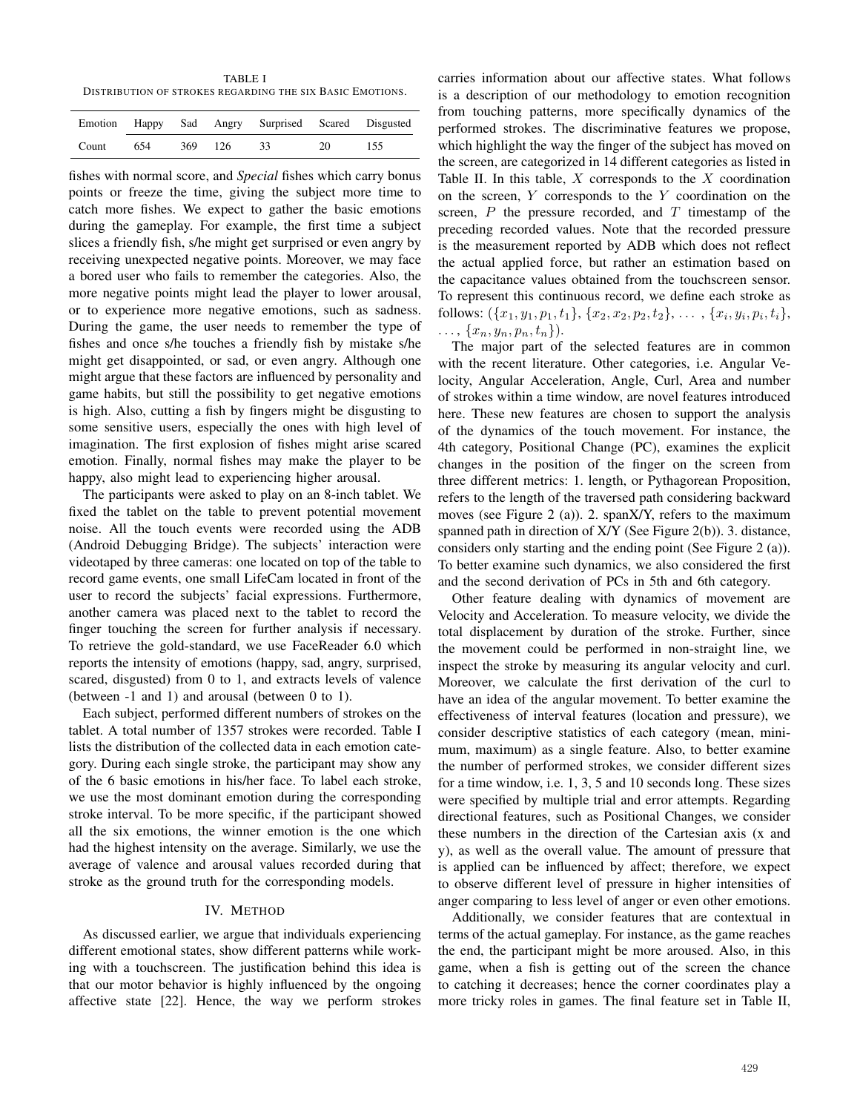TABLE I DISTRIBUTION OF STROKES REGARDING THE SIX BASIC EMOTIONS.

|       |     |     |       | Emotion Happy Sad Angry Surprised Scared Disgusted |     |     |
|-------|-----|-----|-------|----------------------------------------------------|-----|-----|
| Count | 654 | 369 | - 126 |                                                    | 20. | 155 |

fishes with normal score, and *Special* fishes which carry bonus points or freeze the time, giving the subject more time to catch more fishes. We expect to gather the basic emotions during the gameplay. For example, the first time a subject slices a friendly fish, s/he might get surprised or even angry by receiving unexpected negative points. Moreover, we may face a bored user who fails to remember the categories. Also, the more negative points might lead the player to lower arousal, or to experience more negative emotions, such as sadness. During the game, the user needs to remember the type of fishes and once s/he touches a friendly fish by mistake s/he might get disappointed, or sad, or even angry. Although one might argue that these factors are influenced by personality and game habits, but still the possibility to get negative emotions is high. Also, cutting a fish by fingers might be disgusting to some sensitive users, especially the ones with high level of imagination. The first explosion of fishes might arise scared emotion. Finally, normal fishes may make the player to be happy, also might lead to experiencing higher arousal.

The participants were asked to play on an 8-inch tablet. We fixed the tablet on the table to prevent potential movement noise. All the touch events were recorded using the ADB (Android Debugging Bridge). The subjects' interaction were videotaped by three cameras: one located on top of the table to record game events, one small LifeCam located in front of the user to record the subjects' facial expressions. Furthermore, another camera was placed next to the tablet to record the finger touching the screen for further analysis if necessary. To retrieve the gold-standard, we use FaceReader 6.0 which reports the intensity of emotions (happy, sad, angry, surprised, scared, disgusted) from 0 to 1, and extracts levels of valence (between -1 and 1) and arousal (between 0 to 1).

Each subject, performed different numbers of strokes on the tablet. A total number of 1357 strokes were recorded. Table I lists the distribution of the collected data in each emotion category. During each single stroke, the participant may show any of the 6 basic emotions in his/her face. To label each stroke, we use the most dominant emotion during the corresponding stroke interval. To be more specific, if the participant showed all the six emotions, the winner emotion is the one which had the highest intensity on the average. Similarly, we use the average of valence and arousal values recorded during that stroke as the ground truth for the corresponding models.

# IV. METHOD

As discussed earlier, we argue that individuals experiencing different emotional states, show different patterns while working with a touchscreen. The justification behind this idea is that our motor behavior is highly influenced by the ongoing affective state [22]. Hence, the way we perform strokes carries information about our affective states. What follows is a description of our methodology to emotion recognition from touching patterns, more specifically dynamics of the performed strokes. The discriminative features we propose, which highlight the way the finger of the subject has moved on the screen, are categorized in 14 different categories as listed in Table II. In this table,  $X$  corresponds to the  $X$  coordination on the screen, Y corresponds to the Y coordination on the screen,  $P$  the pressure recorded, and  $T$  timestamp of the preceding recorded values. Note that the recorded pressure is the measurement reported by ADB which does not reflect the actual applied force, but rather an estimation based on the capacitance values obtained from the touchscreen sensor. To represent this continuous record, we define each stroke as follows:  $({x_1,y_1,p_1,t_1}, {x_2,x_2,p_2,t_2}, \ldots, {x_i,y_i,p_i,t_i},$  $\ldots, \{x_n, y_n, p_n, t_n\}.$ 

The major part of the selected features are in common with the recent literature. Other categories, i.e. Angular Velocity, Angular Acceleration, Angle, Curl, Area and number of strokes within a time window, are novel features introduced here. These new features are chosen to support the analysis of the dynamics of the touch movement. For instance, the 4th category, Positional Change (PC), examines the explicit changes in the position of the finger on the screen from three different metrics: 1. length, or Pythagorean Proposition, refers to the length of the traversed path considering backward moves (see Figure 2 (a)). 2. spanX/Y, refers to the maximum spanned path in direction of X/Y (See Figure 2(b)). 3. distance, considers only starting and the ending point (See Figure 2 (a)). To better examine such dynamics, we also considered the first and the second derivation of PCs in 5th and 6th category.

Other feature dealing with dynamics of movement are Velocity and Acceleration. To measure velocity, we divide the total displacement by duration of the stroke. Further, since the movement could be performed in non-straight line, we inspect the stroke by measuring its angular velocity and curl. Moreover, we calculate the first derivation of the curl to have an idea of the angular movement. To better examine the effectiveness of interval features (location and pressure), we consider descriptive statistics of each category (mean, minimum, maximum) as a single feature. Also, to better examine the number of performed strokes, we consider different sizes for a time window, i.e. 1, 3, 5 and 10 seconds long. These sizes were specified by multiple trial and error attempts. Regarding directional features, such as Positional Changes, we consider these numbers in the direction of the Cartesian axis (x and y), as well as the overall value. The amount of pressure that is applied can be influenced by affect; therefore, we expect to observe different level of pressure in higher intensities of anger comparing to less level of anger or even other emotions.

Additionally, we consider features that are contextual in terms of the actual gameplay. For instance, as the game reaches the end, the participant might be more aroused. Also, in this game, when a fish is getting out of the screen the chance to catching it decreases; hence the corner coordinates play a more tricky roles in games. The final feature set in Table II,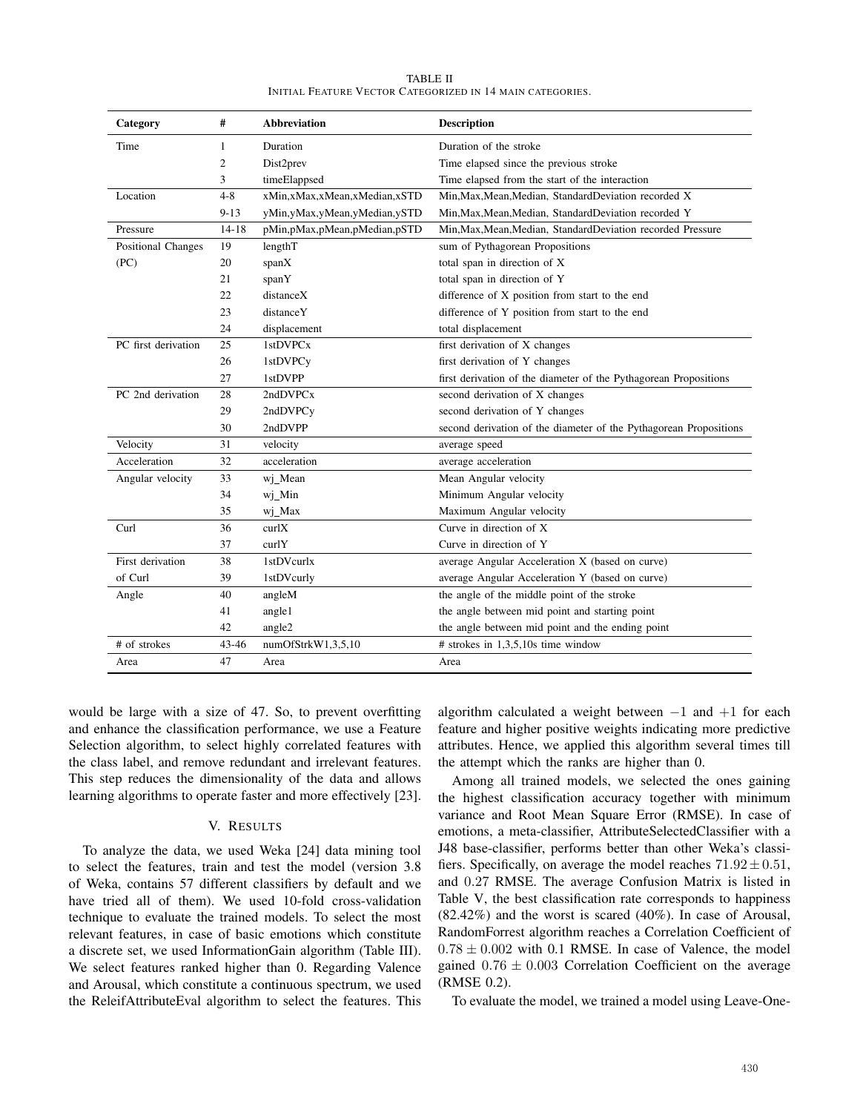| Category                  | #              | <b>Abbreviation</b>              | <b>Description</b>                                                |
|---------------------------|----------------|----------------------------------|-------------------------------------------------------------------|
| Time                      | 1              | Duration                         | Duration of the stroke                                            |
|                           | $\overline{c}$ | Dist2prev                        | Time elapsed since the previous stroke                            |
|                           | 3              | timeElappsed                     | Time elapsed from the start of the interaction                    |
| Location                  | $4 - 8$        | xMin, xMax, xMean, xMedian, xSTD | Min, Max, Mean, Median, Standard Deviation recorded X             |
|                           | $9 - 13$       | yMin,yMax,yMean,yMedian,ySTD     | Min, Max, Mean, Median, Standard Deviation recorded Y             |
| Pressure                  | $14 - 18$      | pMin,pMax,pMean,pMedian,pSTD     | Min, Max, Mean, Median, Standard Deviation recorded Pressure      |
| <b>Positional Changes</b> | 19             | lengthT                          | sum of Pythagorean Propositions                                   |
| (PC)                      | 20             | spanX                            | total span in direction of X                                      |
|                           | 21             | spanY                            | total span in direction of Y                                      |
|                           | 22             | distanceX                        | difference of X position from start to the end                    |
|                           | 23             | distanceY                        | difference of Y position from start to the end                    |
|                           | 24             | displacement                     | total displacement                                                |
| PC first derivation       | 25             | 1stDVPCx                         | first derivation of X changes                                     |
|                           | 26             | 1stDVPC <sub>v</sub>             | first derivation of Y changes                                     |
|                           | 27             | 1stDVPP                          | first derivation of the diameter of the Pythagorean Propositions  |
| PC 2nd derivation         | 28             | 2ndDVPCx                         | second derivation of X changes                                    |
|                           | 29             | 2ndDVPCy                         | second derivation of Y changes                                    |
|                           | 30             | 2ndDVPP                          | second derivation of the diameter of the Pythagorean Propositions |
| Velocity                  | 31             | velocity                         | average speed                                                     |
| Acceleration              | 32             | acceleration                     | average acceleration                                              |
| Angular velocity          | 33             | wi Mean                          | Mean Angular velocity                                             |
|                           | 34             | wj_Min                           | Minimum Angular velocity                                          |
|                           | 35             | wj_Max                           | Maximum Angular velocity                                          |
| Curl                      | 36             | curlX                            | Curve in direction of X                                           |
|                           | 37             | curlY                            | Curve in direction of Y                                           |
| First derivation          | 38             | 1stDVcurlx                       | average Angular Acceleration X (based on curve)                   |
| of Curl                   | 39             | 1stDVcurly                       | average Angular Acceleration Y (based on curve)                   |
| Angle                     | 40             | angleM                           | the angle of the middle point of the stroke                       |
|                           | 41             | angle1                           | the angle between mid point and starting point                    |
|                           | 42             | angle2                           | the angle between mid point and the ending point                  |
| # of strokes              | $43 - 46$      | numOfStrkW1,3,5,10               | # strokes in $1,3,5,10s$ time window                              |
| Area                      | 47             | Area                             | Area                                                              |

TABLE II INITIAL FEATURE VECTOR CATEGORIZED IN 14 MAIN CATEGORIES.

would be large with a size of 47. So, to prevent overfitting and enhance the classification performance, we use a Feature Selection algorithm, to select highly correlated features with the class label, and remove redundant and irrelevant features. This step reduces the dimensionality of the data and allows learning algorithms to operate faster and more effectively [23].

#### V. RESULTS

To analyze the data, we used Weka [24] data mining tool to select the features, train and test the model (version 3.8 of Weka, contains 57 different classifiers by default and we have tried all of them). We used 10-fold cross-validation technique to evaluate the trained models. To select the most relevant features, in case of basic emotions which constitute a discrete set, we used InformationGain algorithm (Table III). We select features ranked higher than 0. Regarding Valence and Arousal, which constitute a continuous spectrum, we used the ReleifAttributeEval algorithm to select the features. This algorithm calculated a weight between  $-1$  and  $+1$  for each feature and higher positive weights indicating more predictive attributes. Hence, we applied this algorithm several times till the attempt which the ranks are higher than 0.

Among all trained models, we selected the ones gaining the highest classification accuracy together with minimum variance and Root Mean Square Error (RMSE). In case of emotions, a meta-classifier, AttributeSelectedClassifier with a J48 base-classifier, performs better than other Weka's classifiers. Specifically, on average the model reaches  $71.92 \pm 0.51$ , and 0.27 RMSE. The average Confusion Matrix is listed in Table V, the best classification rate corresponds to happiness (82.42%) and the worst is scared (40%). In case of Arousal, RandomForrest algorithm reaches a Correlation Coefficient of  $0.78 \pm 0.002$  with 0.1 RMSE. In case of Valence, the model gained  $0.76 \pm 0.003$  Correlation Coefficient on the average (RMSE 0.2).

To evaluate the model, we trained a model using Leave-One-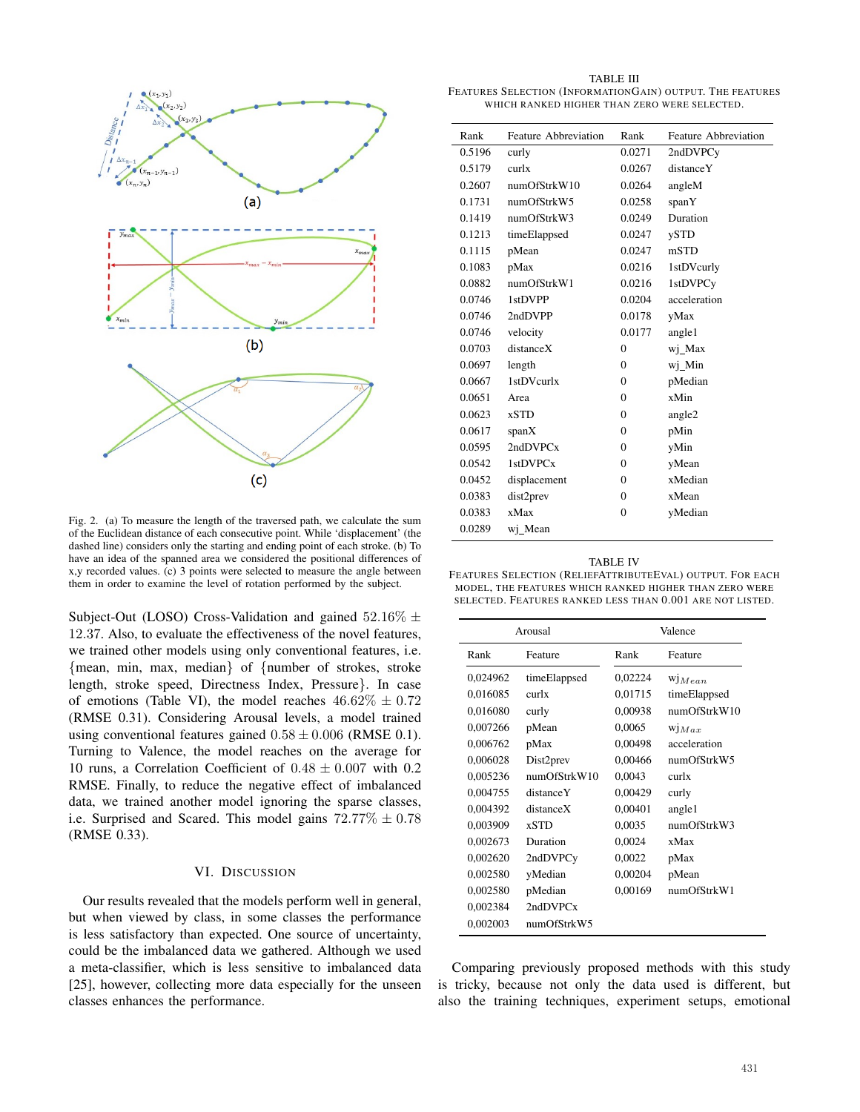

Fig. 2. (a) To measure the length of the traversed path, we calculate the sum of the Euclidean distance of each consecutive point. While 'displacement' (the dashed line) considers only the starting and ending point of each stroke. (b) To have an idea of the spanned area we considered the positional differences of x,y recorded values. (c) 3 points were selected to measure the angle between them in order to examine the level of rotation performed by the subject.

Subject-Out (LOSO) Cross-Validation and gained  $52.16\% \pm$ 12.37. Also, to evaluate the effectiveness of the novel features, we trained other models using only conventional features, i.e. {mean, min, max, median} of {number of strokes, stroke length, stroke speed, Directness Index, Pressure}. In case of emotions (Table VI), the model reaches  $46.62\% \pm 0.72$ (RMSE 0.31). Considering Arousal levels, a model trained using conventional features gained  $0.58 \pm 0.006$  (RMSE 0.1). Turning to Valence, the model reaches on the average for 10 runs, a Correlation Coefficient of  $0.48 \pm 0.007$  with 0.2 RMSE. Finally, to reduce the negative effect of imbalanced data, we trained another model ignoring the sparse classes, i.e. Surprised and Scared. This model gains  $72.77\% \pm 0.78$ (RMSE 0.33).

# VI. DISCUSSION

Our results revealed that the models perform well in general, but when viewed by class, in some classes the performance is less satisfactory than expected. One source of uncertainty, could be the imbalanced data we gathered. Although we used a meta-classifier, which is less sensitive to imbalanced data [25], however, collecting more data especially for the unseen classes enhances the performance.

TABLE III FEATURES SELECTION (INFORMATIONGAIN) OUTPUT. THE FEATURES WHICH RANKED HIGHER THAN ZERO WERE SELECTED.

| Rank   | Feature Abbreviation | Rank         | Feature Abbreviation |
|--------|----------------------|--------------|----------------------|
| 0.5196 | curly                | 0.0271       | 2ndDVPC <sub>v</sub> |
| 0.5179 | curlx                | 0.0267       | distanceY            |
| 0.2607 | numOfStrkW10         | 0.0264       | angleM               |
| 0.1731 | numOfStrkW5          | 0.0258       | spanY                |
| 0.1419 | numOfStrkW3          | 0.0249       | Duration             |
| 0.1213 | timeElappsed         | 0.0247       | ySTD                 |
| 0.1115 | pMean                | 0.0247       | mSTD                 |
| 0.1083 | pMax                 | 0.0216       | 1stDVcurly           |
| 0.0882 | numOfStrkW1          | 0.0216       | 1stDVPC <sub>v</sub> |
| 0.0746 | 1stDVPP              | 0.0204       | acceleration         |
| 0.0746 | 2ndDVPP              | 0.0178       | yMax                 |
| 0.0746 | velocity             | 0.0177       | angle1               |
| 0.0703 | distanceX            | $\Omega$     | wi Max               |
| 0.0697 | length               | $\Omega$     | wj_Min               |
| 0.0667 | 1stDVcurlx           | $\Omega$     | pMedian              |
| 0.0651 | Area                 | $\Omega$     | xMin                 |
| 0.0623 | <b>xSTD</b>          | $\mathbf{0}$ | angle2               |
| 0.0617 | spanX                | $\Omega$     | pMin                 |
| 0.0595 | 2ndDVPCx             | $\mathbf{0}$ | yMin                 |
| 0.0542 | 1stDVPCx             | $\Omega$     | yMean                |
| 0.0452 | displacement         | $\Omega$     | xMedian              |
| 0.0383 | dist2prev            | $\Omega$     | xMean                |
| 0.0383 | xMax                 | $\mathbf{0}$ | yMedian              |
| 0.0289 | wi Mean              |              |                      |

| <b>TABLE IV</b>                                           |
|-----------------------------------------------------------|
| Features Selection (ReliefAttributeEval) output. For each |
| MODEL, THE FEATURES WHICH RANKED HIGHER THAN ZERO WERE    |
| SELECTED. FEATURES RANKED LESS THAN 0.001 ARE NOT LISTED. |

|          | Arousal              | Valence |                  |  |
|----------|----------------------|---------|------------------|--|
| Rank     | Feature              | Rank    | Feature          |  |
| 0,024962 | timeElappsed         | 0,02224 | $W1$ <i>Mean</i> |  |
| 0,016085 | curlx                | 0,01715 | timeElappsed     |  |
| 0,016080 | curly                | 0,00938 | numOfStrkW10     |  |
| 0,007266 | pMean                | 0,0065  | $W _{Max}$       |  |
| 0,006762 | pMax                 | 0,00498 | acceleration     |  |
| 0,006028 | Dist2prev            | 0,00466 | numOfStrkW5      |  |
| 0,005236 | numOfStrkW10         | 0,0043  | curlx            |  |
| 0,004755 | distanceY            | 0,00429 | curly            |  |
| 0,004392 | distanceX            | 0,00401 | angle1           |  |
| 0,003909 | <b>xSTD</b>          | 0,0035  | numOfStrkW3      |  |
| 0,002673 | Duration             | 0,0024  | xMax             |  |
| 0,002620 | 2ndDVPC <sub>y</sub> | 0,0022  | pMax             |  |
| 0,002580 | yMedian              | 0,00204 | pMean            |  |
| 0,002580 | pMedian              | 0,00169 | numOfStrkW1      |  |
| 0,002384 | 2ndDVPCx             |         |                  |  |
| 0,002003 | numOfStrkW5          |         |                  |  |

Comparing previously proposed methods with this study is tricky, because not only the data used is different, but also the training techniques, experiment setups, emotional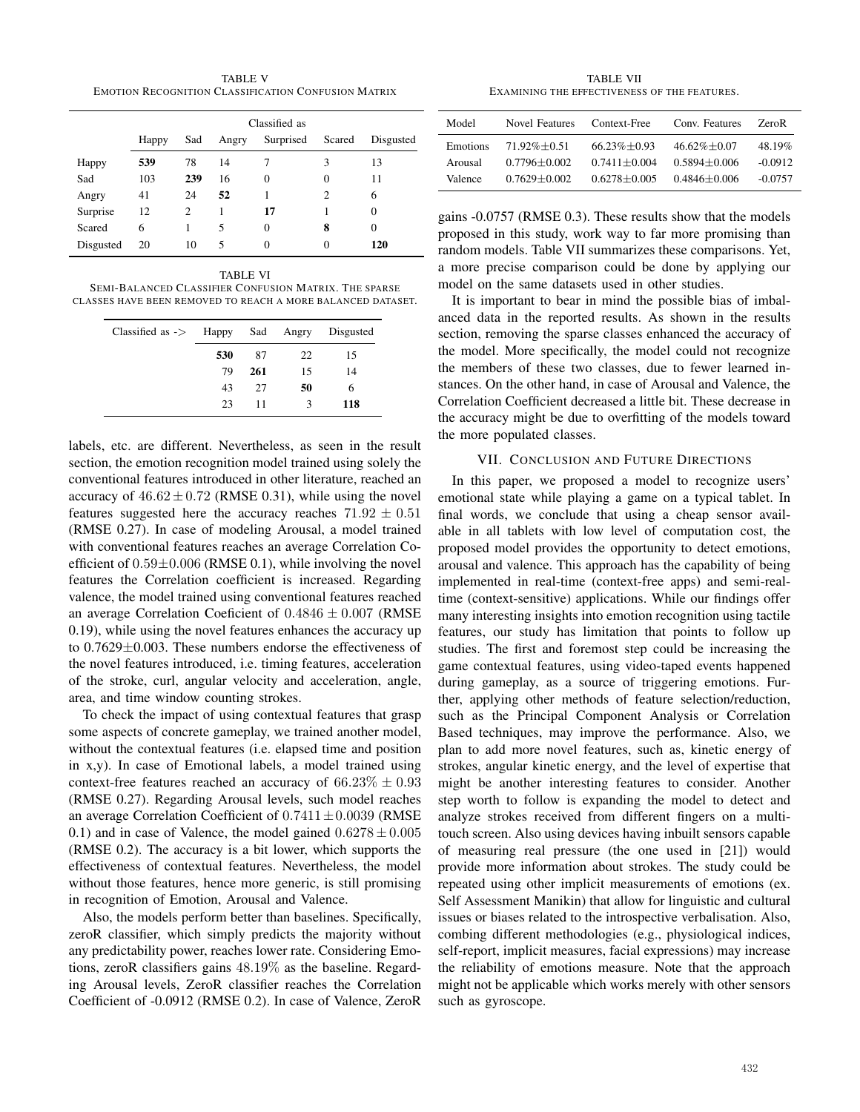TABLE V EMOTION RECOGNITION CLASSIFICATION CONFUSION MATRIX

|           | Classified as |     |       |           |          |           |
|-----------|---------------|-----|-------|-----------|----------|-----------|
|           | Happy         | Sad | Angry | Surprised | Scared   | Disgusted |
| Happy     | 539           | 78  | 14    |           | 3        | 13        |
| Sad       | 103           | 239 | 16    | $\theta$  | $\Omega$ | 11        |
| Angry     | 41            | 24  | 52    |           | 2        | 6         |
| Surprise  | 12            | 2   | 1     | 17        |          | 0         |
| Scared    | 6             |     | 5     | $\Omega$  | 8        | 0         |
| Disgusted | 20            | 10  | 5     | 0         | 0        | 120       |

TABLE VI

SEMI-BALANCED CLASSIFIER CONFUSION MATRIX. THE SPARSE CLASSES HAVE BEEN REMOVED TO REACH A MORE BALANCED DATASET.

| $Classified as \rightarrow 0.0000 0.0000 0.0000 0.0000 0.0000 0.0000 0.0000 0.0000 0.0000 0.0000 0.0000 0.0000 0.0000 0.0000 0.0000 0.0000 0.0000 0.0000 0.0000 0.0000 0.0000 0.0000 0.0000 0.0000 0.0000 0.0000 0.0000 0.0000 0.0000 0.0000$ |     |     |    | Disgusted |
|-----------------------------------------------------------------------------------------------------------------------------------------------------------------------------------------------------------------------------------------------|-----|-----|----|-----------|
|                                                                                                                                                                                                                                               | 530 | 87  | 22 | 15        |
|                                                                                                                                                                                                                                               | 79  | 261 | 15 | 14        |
|                                                                                                                                                                                                                                               | 43  | 27  | 50 | 6         |
|                                                                                                                                                                                                                                               | 23  | 11  | 3  | 118       |

labels, etc. are different. Nevertheless, as seen in the result section, the emotion recognition model trained using solely the conventional features introduced in other literature, reached an accuracy of  $46.62 \pm 0.72$  (RMSE 0.31), while using the novel features suggested here the accuracy reaches  $71.92 \pm 0.51$ (RMSE 0.27). In case of modeling Arousal, a model trained with conventional features reaches an average Correlation Coefficient of  $0.59\pm0.006$  (RMSE 0.1), while involving the novel features the Correlation coefficient is increased. Regarding valence, the model trained using conventional features reached an average Correlation Coeficient of  $0.4846 \pm 0.007$  (RMSE) 0.19), while using the novel features enhances the accuracy up to 0.7629±0.003. These numbers endorse the effectiveness of the novel features introduced, i.e. timing features, acceleration of the stroke, curl, angular velocity and acceleration, angle, area, and time window counting strokes.

To check the impact of using contextual features that grasp some aspects of concrete gameplay, we trained another model, without the contextual features (i.e. elapsed time and position in x,y). In case of Emotional labels, a model trained using context-free features reached an accuracy of  $66.23\% \pm 0.93$ (RMSE 0.27). Regarding Arousal levels, such model reaches an average Correlation Coefficient of  $0.7411 \pm 0.0039$  (RMSE 0.1) and in case of Valence, the model gained  $0.6278 \pm 0.005$ (RMSE 0.2). The accuracy is a bit lower, which supports the effectiveness of contextual features. Nevertheless, the model without those features, hence more generic, is still promising in recognition of Emotion, Arousal and Valence.

Also, the models perform better than baselines. Specifically, zeroR classifier, which simply predicts the majority without any predictability power, reaches lower rate. Considering Emotions, zeroR classifiers gains 48.19% as the baseline. Regarding Arousal levels, ZeroR classifier reaches the Correlation Coefficient of -0.0912 (RMSE 0.2). In case of Valence, ZeroR

TABLE VII EXAMINING THE EFFECTIVENESS OF THE FEATURES.

| Model           | Novel Features   | Context-Free     | Conv. Features   | ZeroR     |
|-----------------|------------------|------------------|------------------|-----------|
| <b>Emotions</b> | $71.92\% + 0.51$ | $66.23\% + 0.93$ | $46.62\% + 0.07$ | 48.19%    |
| Arousal         | $0.7796 + 0.002$ | $0.7411 + 0.004$ | $0.5894 + 0.006$ | $-0.0912$ |
| Valence         | $0.7629 + 0.002$ | $0.6278 + 0.005$ | $0.4846 + 0.006$ | $-0.0757$ |

gains -0.0757 (RMSE 0.3). These results show that the models proposed in this study, work way to far more promising than random models. Table VII summarizes these comparisons. Yet, a more precise comparison could be done by applying our model on the same datasets used in other studies.

It is important to bear in mind the possible bias of imbalanced data in the reported results. As shown in the results section, removing the sparse classes enhanced the accuracy of the model. More specifically, the model could not recognize the members of these two classes, due to fewer learned instances. On the other hand, in case of Arousal and Valence, the Correlation Coefficient decreased a little bit. These decrease in the accuracy might be due to overfitting of the models toward the more populated classes.

# VII. CONCLUSION AND FUTURE DIRECTIONS

In this paper, we proposed a model to recognize users' emotional state while playing a game on a typical tablet. In final words, we conclude that using a cheap sensor available in all tablets with low level of computation cost, the proposed model provides the opportunity to detect emotions, arousal and valence. This approach has the capability of being implemented in real-time (context-free apps) and semi-realtime (context-sensitive) applications. While our findings offer many interesting insights into emotion recognition using tactile features, our study has limitation that points to follow up studies. The first and foremost step could be increasing the game contextual features, using video-taped events happened during gameplay, as a source of triggering emotions. Further, applying other methods of feature selection/reduction, such as the Principal Component Analysis or Correlation Based techniques, may improve the performance. Also, we plan to add more novel features, such as, kinetic energy of strokes, angular kinetic energy, and the level of expertise that might be another interesting features to consider. Another step worth to follow is expanding the model to detect and analyze strokes received from different fingers on a multitouch screen. Also using devices having inbuilt sensors capable of measuring real pressure (the one used in [21]) would provide more information about strokes. The study could be repeated using other implicit measurements of emotions (ex. Self Assessment Manikin) that allow for linguistic and cultural issues or biases related to the introspective verbalisation. Also, combing different methodologies (e.g., physiological indices, self-report, implicit measures, facial expressions) may increase the reliability of emotions measure. Note that the approach might not be applicable which works merely with other sensors such as gyroscope.